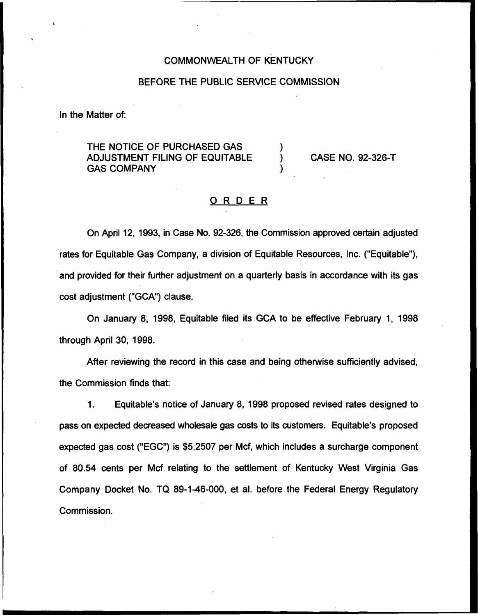### COMMONWEALTH OF KENTUCKY

#### BEFORE THE PUBLIC SERVICE COMMISSION

In the Matter of:

THE NOTICE OF PURCHASED GAS ADJUSTMENT FILING OF EQUITABLE GAS COMPANY

CASE NO. 92-326-T

### <u>ORDER</u>

 $\mathcal{E}$ 

On April 12, 1993, in Case No. 92-326, the Commission approved certain adjusted rates for Equitable Gas Company, a division of Equitable Resources, Inc. ("Equitable"), and provided for their further adjustment on a quarterly basis in accordance with its gas cost adjustment ("GCA") clause.

On January 8, 1998, Equitable filed its GCA to be effective February 1, 1998 through April 30, 1998.

After reviewing the record in this case and being otherwise sufficiently advised, the Commission finds that:

 $1.$ Equitable's notice of January 8, 1998 proposed revised rates designed to pass on expected decreased wholesale gas costs to its customers. Equitable's proposed expected gas cost ("EGC") is \$5.2507 per Mcf, which includes a surcharge component of 80.54 cents per Mcf relating to the settlement of Kentucky West Virginia Gas Company Docket No. TQ 89-1-46-000, et al. before the Federal Energy Regulatory Commission.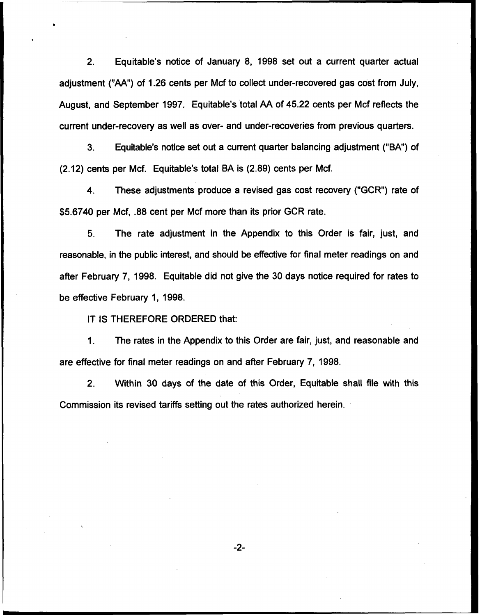2. Equitable's notice of January 8, 1998 set out a current quarter actual adjustment ("AA") of 1.26 cents per Mcf to collect under-recovered gas cost from July, August, and September 1997. Equitable's total AA of 45.22 cents per Mcf reflects the current under-recovery as well as over- and under-recoveries from previous quarters.

3. Equitable's notice set out a current quarter balancing adjustment ("BA") of (2.12) cents per Mcf. Equitable's total BA is (2.89) cents per Mcf.

4. These adjustments produce a revised gas cost recovery ("GCR") rate of \$5.6740 per Mcf, .88 cent per Mcf more than its prior GCR rate.

5. The rate adjustment in the Appendix to this Order is fair, just, and reasonable, in the public interest, and should be effective for final meter readings on and after February 7, 1998. Equitable did not give the 30 days notice required for rates to be effective February 1, 1998.

IT IS THEREFORE ORDERED that:

The rates in the Appendix to this Order are fair, just, and reasonable and  $\mathbf 1$ . are effective for final meter readings on and after February 7, 1998.

2. Within 30 days of the date of this Order, Equitable shall file with this Commission its revised tariffs setting out the rates authorized herein.

 $-2-$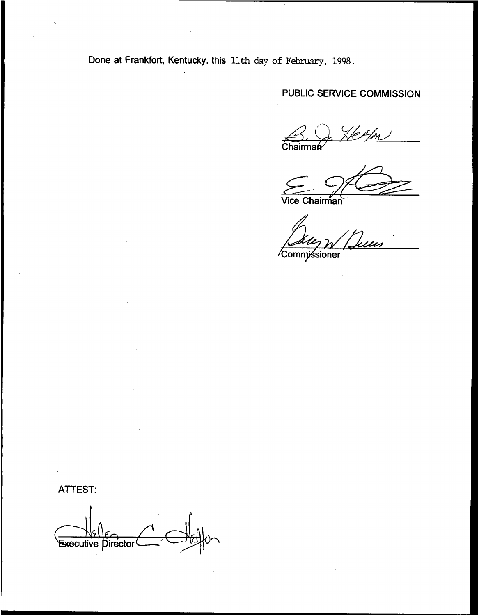Done at Frankfort, Kentucky, this 11th day of February, 1998.

# PUBLIC SERVICE COMMISSION

e ffm  $\overline{\overline{\text{Chair}}}$ 

Vice Chairman

Commissioner

## ATTEST:

Executive Director